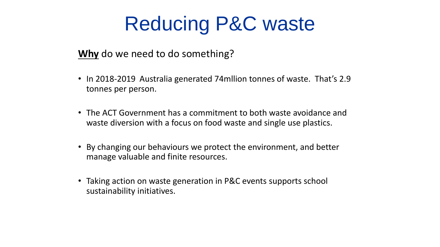#### **Why** do we need to do something?

- In 2018-2019 Australia generated 74mllion tonnes of waste. That's 2.9 tonnes per person.
- The ACT Government has a commitment to both waste avoidance and waste diversion with a focus on food waste and single use plastics.
- By changing our behaviours we protect the environment, and better manage valuable and finite resources.
- Taking action on waste generation in P&C events supports school sustainability initiatives.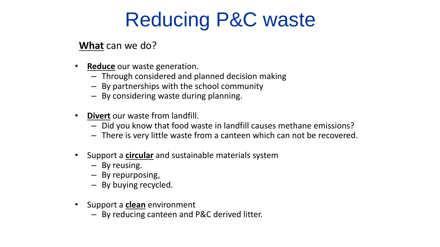#### **What** can we do?

- **Reduce** our waste generation.
	- Through considered and planned decision making
	- By partnerships with the school community
	- By considering waste during planning.
- **Divert** our waste from landfill.
	- Did you know that food waste in landfill causes methane emissions?
	- There is very little waste from a canteen which can not be recovered.
- Support a **circular** and sustainable materials system
	- By reusing.
	- By repurposing,
	- By buying recycled.
- Support a **clean** environment
	- By reducing canteen and P&C derived litter.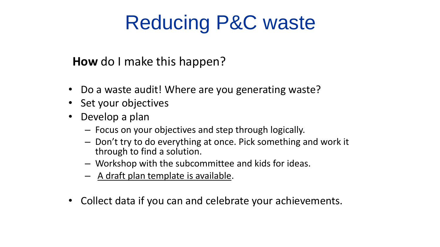#### **How** do I make this happen?

- Do a waste audit! Where are you generating waste?
- Set your objectives
- Develop a plan
	- Focus on your objectives and step through logically.
	- Don't try to do everything at once. Pick something and work it through to find a solution.
	- Workshop with the subcommittee and kids for ideas.
	- A draft plan template is available.
- Collect data if you can and celebrate your achievements.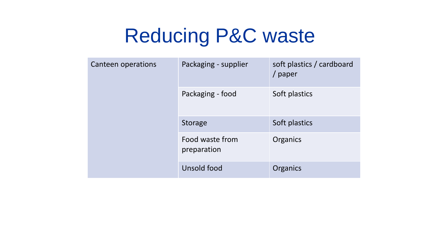| Canteen operations | Packaging - supplier           | soft plastics / cardboard<br>/ paper |
|--------------------|--------------------------------|--------------------------------------|
|                    | Packaging - food               | Soft plastics                        |
|                    | <b>Storage</b>                 | Soft plastics                        |
|                    | Food waste from<br>preparation | <b>Organics</b>                      |
|                    | Unsold food                    | Organics                             |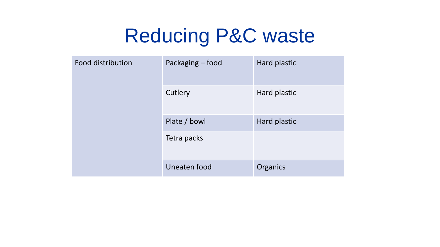| <b>Food distribution</b> | Packaging - food | Hard plastic |
|--------------------------|------------------|--------------|
|                          | Cutlery          | Hard plastic |
|                          | Plate / bowl     | Hard plastic |
|                          | Tetra packs      |              |
|                          | Uneaten food     | Organics     |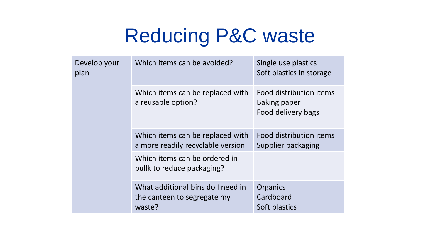| Develop your<br>plan | Which items can be avoided?                                                | Single use plastics<br>Soft plastics in storage                      |
|----------------------|----------------------------------------------------------------------------|----------------------------------------------------------------------|
|                      | Which items can be replaced with<br>a reusable option?                     | Food distribution items<br><b>Baking paper</b><br>Food delivery bags |
|                      | Which items can be replaced with<br>a more readily recyclable version      | Food distribution items<br>Supplier packaging                        |
|                      | Which items can be ordered in<br>bullk to reduce packaging?                |                                                                      |
|                      | What additional bins do I need in<br>the canteen to segregate my<br>waste? | Organics<br>Cardboard<br>Soft plastics                               |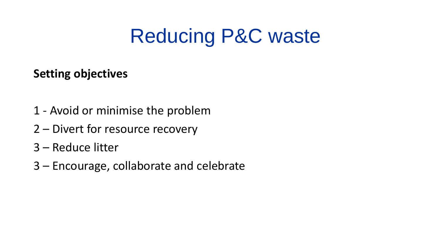#### **Setting objectives**

- 1 Avoid or minimise the problem
- 2 Divert for resource recovery
- 3 Reduce litter
- 3 Encourage, collaborate and celebrate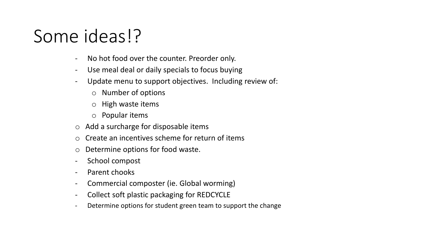#### Some ideas!?

- No hot food over the counter. Preorder only.
- Use meal deal or daily specials to focus buying
- Update menu to support objectives. Including review of:
	- o Number of options
	- o High waste items
	- o Popular items
- o Add a surcharge for disposable items
- o Create an incentives scheme for return of items
- o Determine options for food waste.
- School compost
- Parent chooks
- Commercial composter (ie. Global worming)
- Collect soft plastic packaging for REDCYCLE
- Determine options for student green team to support the change